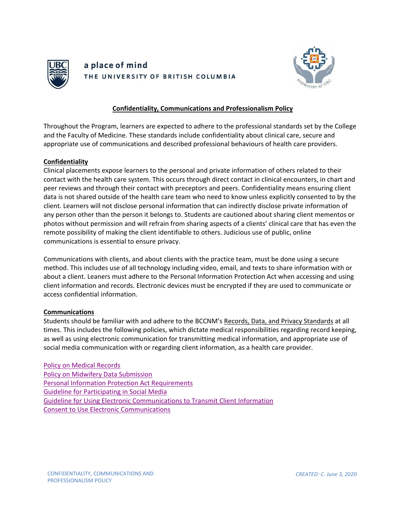

# a place of mind THE UNIVERSITY OF BRITISH COLUMBIA



## **Confidentiality, Communications and Professionalism Policy**

Throughout the Program, learners are expected to adhere to the professional standards set by the College and the Faculty of Medicine. These standards include confidentiality about clinical care, secure and appropriate use of communications and described professional behaviours of health care providers.

### **Confidentiality**

Clinical placements expose learners to the personal and private information of others related to their contact with the health care system. This occurs through direct contact in clinical encounters, in chart and peer reviews and through their contact with preceptors and peers. Confidentiality means ensuring client data is not shared outside of the health care team who need to know unless explicitly consented to by the client. Learners will not disclose personal information that can indirectly disclose private information of any person other than the person it belongs to. Students are cautioned about sharing client mementos or photos without permission and will refrain from sharing aspects of a clients' clinical care that has even the remote possibility of making the client identifiable to others. Judicious use of public, online communications is essential to ensure privacy.

Communications with clients, and about clients with the practice team, must be done using a secure method. This includes use of all technology including video, email, and texts to share information with or about a client. Leaners must adhere to the Personal Information Protection Act when accessing and using client information and records. Electronic devices must be encrypted if they are used to communicate or access confidential information.

#### **Communications**

Students should be familiar with and adhere to the BCCNM's Records, Data, and Privacy Standards at all times. This includes the following policies, which dictate medical responsibilities regarding record keeping, as well as using electronic communication for transmitting medical information, and appropriate use of social media communication with or regarding client information, as a health care provider.

[Policy on Medical Records](https://www.bccnm.ca/Documents/standards_practice/rm/RM_Policy%20on_Medical_Records.pdf#search%3Dpolicy%20on%20medical%20records%20midwives) [Policy on Midwifery Data Submission](https://www.bccnm.ca/Documents/quality_assurance/RM_Policy_on_Midwifery_Data_Submission.pdf) [Personal Information Protection Act Requirements](https://www.bccnm.ca/Documents/standards_practice/rm/RM_Personal_Information_Protection_Act_Requirements.pdf#search%3DPersonal%20Information%20Protection%20Act%20Requirements) [Guideline for Participating in Social Media](https://www.bccnm.ca/Documents/standards_practice/rm/RM_Guideline_for_Participating_in_Social_Media.pdf#search%3DGuideline%20for%20Participating%20in%20Social%20Media) [Guideline for Using Electronic Communications to Transmit Client Information](https://www.bccnm.ca/Documents/standards_practice/rm/RM_Guideline_for_Elec_Comms_to_Transmit_Client_Info.pdf#search%3DGuideline%20for%20Using%20Electronic%20Communications%20to%20Transmit%20Client%20Information) [Consent to Use Electronic Communications](https://www.bccnm.ca/Documents/quality_assurance/Form125_RM_Consent_to_Use_Electronic_Comms.pdf#search%3DConsent%20to%20Use%20Electronic%20Communications)